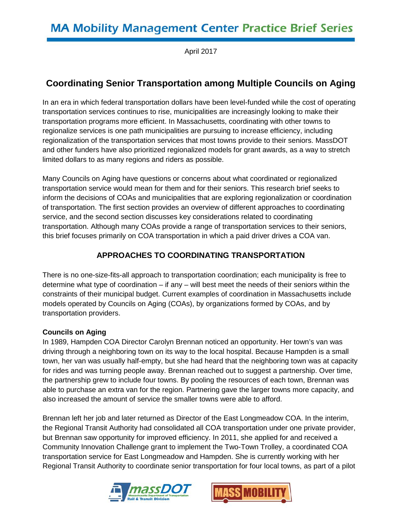April 2017

# **Coordinating Senior Transportation among Multiple Councils on Aging**

In an era in which federal transportation dollars have been level-funded while the cost of operating transportation services continues to rise, municipalities are increasingly looking to make their transportation programs more efficient. In Massachusetts, coordinating with other towns to regionalize services is one path municipalities are pursuing to increase efficiency, including regionalization of the transportation services that most towns provide to their seniors. MassDOT and other funders have also prioritized regionalized models for grant awards, as a way to stretch limited dollars to as many regions and riders as possible.

Many Councils on Aging have questions or concerns about what coordinated or regionalized transportation service would mean for them and for their seniors. This research brief seeks to inform the decisions of COAs and municipalities that are exploring regionalization or coordination of transportation. The first section provides an overview of different approaches to coordinating service, and the second section discusses key considerations related to coordinating transportation. Although many COAs provide a range of transportation services to their seniors, this brief focuses primarily on COA transportation in which a paid driver drives a COA van.

# **APPROACHES TO COORDINATING TRANSPORTATION**

There is no one-size-fits-all approach to transportation coordination; each municipality is free to determine what type of coordination – if any – will best meet the needs of their seniors within the constraints of their municipal budget. Current examples of coordination in Massachusetts include models operated by Councils on Aging (COAs), by organizations formed by COAs, and by transportation providers.

#### **Councils on Aging**

In 1989, Hampden COA Director Carolyn Brennan noticed an opportunity. Her town's van was driving through a neighboring town on its way to the local hospital. Because Hampden is a small town, her van was usually half-empty, but she had heard that the neighboring town was at capacity for rides and was turning people away. Brennan reached out to suggest a partnership. Over time, the partnership grew to include four towns. By pooling the resources of each town, Brennan was able to purchase an extra van for the region. Partnering gave the larger towns more capacity, and also increased the amount of service the smaller towns were able to afford.

Brennan left her job and later returned as Director of the East Longmeadow COA. In the interim, the Regional Transit Authority had consolidated all COA transportation under one private provider, but Brennan saw opportunity for improved efficiency. In 2011, she applied for and received a Community Innovation Challenge grant to implement the Two-Town Trolley, a coordinated COA transportation service for East Longmeadow and Hampden. She is currently working with her Regional Transit Authority to coordinate senior transportation for four local towns, as part of a pilot



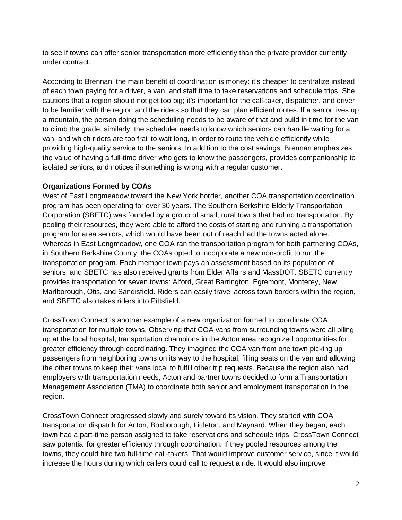to see if towns can offer senior transportation more efficiently than the private provider currently under contract.

According to Brennan, the main benefit of coordination is money: it's cheaper to centralize instead of each town paying for a driver, a van, and staff time to take reservations and schedule trips. She cautions that a region should not get too big; it's important for the call-taker, dispatcher, and driver to be familiar with the region and the riders so that they can plan efficient routes. If a senior lives up a mountain, the person doing the scheduling needs to be aware of that and build in time for the van to climb the grade; similarly, the scheduler needs to know which seniors can handle waiting for a van, and which riders are too frail to wait long, in order to route the vehicle efficiently while providing high-quality service to the seniors. In addition to the cost savings, Brennan emphasizes the value of having a full-time driver who gets to know the passengers, provides companionship to isolated seniors, and notices if something is wrong with a regular customer.

#### **Organizations Formed by COAs**

West of East Longmeadow toward the New York border, another COA transportation coordination program has been operating for over 30 years. The Southern Berkshire Elderly Transportation Corporation (SBETC) was founded by a group of small, rural towns that had no transportation. By pooling their resources, they were able to afford the costs of starting and running a transportation program for area seniors, which would have been out of reach had the towns acted alone. Whereas in East Longmeadow, one COA ran the transportation program for both partnering COAs, in Southern Berkshire County, the COAs opted to incorporate a new non-profit to run the transportation program. Each member town pays an assessment based on its population of seniors, and SBETC has also received grants from Elder Affairs and MassDOT. SBETC currently provides transportation for seven towns: Alford, Great Barrington, Egremont, Monterey, New Marlborough, Otis, and Sandisfield. Riders can easily travel across town borders within the region, and SBETC also takes riders into Pittsfield.

CrossTown Connect is another example of a new organization formed to coordinate COA transportation for multiple towns. Observing that COA vans from surrounding towns were all piling up at the local hospital, transportation champions in the Acton area recognized opportunities for greater efficiency through coordinating. They imagined the COA van from one town picking up passengers from neighboring towns on its way to the hospital, filling seats on the van and allowing the other towns to keep their vans local to fulfill other trip requests. Because the region also had employers with transportation needs, Acton and partner towns decided to form a Transportation Management Association (TMA) to coordinate both senior and employment transportation in the region.

CrossTown Connect progressed slowly and surely toward its vision. They started with COA transportation dispatch for Acton, Boxborough, Littleton, and Maynard. When they began, each town had a part-time person assigned to take reservations and schedule trips. CrossTown Connect saw potential for greater efficiency through coordination. If they pooled resources among the towns, they could hire two full-time call-takers. That would improve customer service, since it would increase the hours during which callers could call to request a ride. It would also improve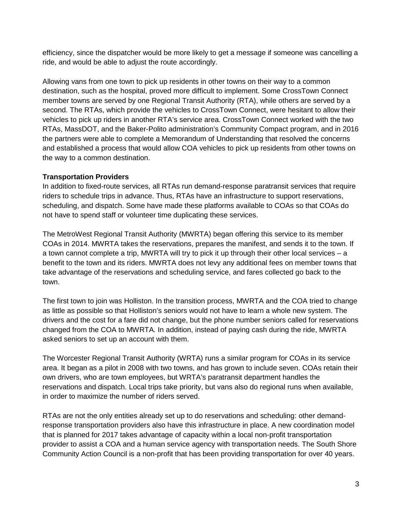efficiency, since the dispatcher would be more likely to get a message if someone was cancelling a ride, and would be able to adjust the route accordingly.

Allowing vans from one town to pick up residents in other towns on their way to a common destination, such as the hospital, proved more difficult to implement. Some CrossTown Connect member towns are served by one Regional Transit Authority (RTA), while others are served by a second. The RTAs, which provide the vehicles to CrossTown Connect, were hesitant to allow their vehicles to pick up riders in another RTA's service area. CrossTown Connect worked with the two RTAs, MassDOT, and the Baker-Polito administration's Community Compact program, and in 2016 the partners were able to complete a Memorandum of Understanding that resolved the concerns and established a process that would allow COA vehicles to pick up residents from other towns on the way to a common destination.

#### **Transportation Providers**

In addition to fixed-route services, all RTAs run demand-response paratransit services that require riders to schedule trips in advance. Thus, RTAs have an infrastructure to support reservations, scheduling, and dispatch. Some have made these platforms available to COAs so that COAs do not have to spend staff or volunteer time duplicating these services.

The MetroWest Regional Transit Authority (MWRTA) began offering this service to its member COAs in 2014. MWRTA takes the reservations, prepares the manifest, and sends it to the town. If a town cannot complete a trip, MWRTA will try to pick it up through their other local services – a benefit to the town and its riders. MWRTA does not levy any additional fees on member towns that take advantage of the reservations and scheduling service, and fares collected go back to the town.

The first town to join was Holliston. In the transition process, MWRTA and the COA tried to change as little as possible so that Holliston's seniors would not have to learn a whole new system. The drivers and the cost for a fare did not change, but the phone number seniors called for reservations changed from the COA to MWRTA. In addition, instead of paying cash during the ride, MWRTA asked seniors to set up an account with them.

The Worcester Regional Transit Authority (WRTA) runs a similar program for COAs in its service area. It began as a pilot in 2008 with two towns, and has grown to include seven. COAs retain their own drivers, who are town employees, but WRTA's paratransit department handles the reservations and dispatch. Local trips take priority, but vans also do regional runs when available, in order to maximize the number of riders served.

RTAs are not the only entities already set up to do reservations and scheduling: other demandresponse transportation providers also have this infrastructure in place. A new coordination model that is planned for 2017 takes advantage of capacity within a local non-profit transportation provider to assist a COA and a human service agency with transportation needs. The South Shore Community Action Council is a non-profit that has been providing transportation for over 40 years.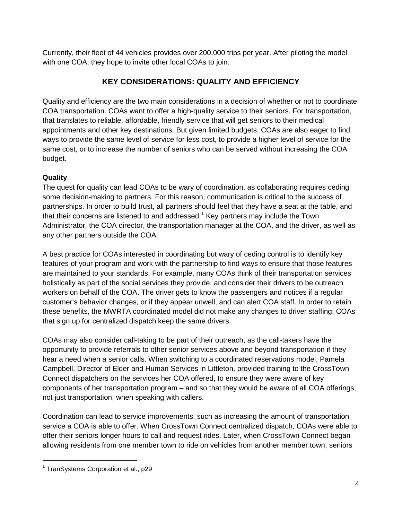Currently, their fleet of 44 vehicles provides over 200,000 trips per year. After piloting the model with one COA, they hope to invite other local COAs to join.

# **KEY CONSIDERATIONS: QUALITY AND EFFICIENCY**

Quality and efficiency are the two main considerations in a decision of whether or not to coordinate COA transportation. COAs want to offer a high-quality service to their seniors. For transportation, that translates to reliable, affordable, friendly service that will get seniors to their medical appointments and other key destinations. But given limited budgets, COAs are also eager to find ways to provide the same level of service for less cost, to provide a higher level of service for the same cost, or to increase the number of seniors who can be served without increasing the COA budget.

### **Quality**

The quest for quality can lead COAs to be wary of coordination, as collaborating requires ceding some decision-making to partners. For this reason, communication is critical to the success of partnerships. In order to build trust, all partners should feel that they have a seat at the table, and that their concerns are listened to and addressed.<sup>[1](#page-3-0)</sup> Key partners may include the Town Administrator, the COA director, the transportation manager at the COA, and the driver, as well as any other partners outside the COA.

A best practice for COAs interested in coordinating but wary of ceding control is to identify key features of your program and work with the partnership to find ways to ensure that those features are maintained to your standards. For example, many COAs think of their transportation services holistically as part of the social services they provide, and consider their drivers to be outreach workers on behalf of the COA. The driver gets to know the passengers and notices if a regular customer's behavior changes, or if they appear unwell, and can alert COA staff. In order to retain these benefits, the MWRTA coordinated model did not make any changes to driver staffing; COAs that sign up for centralized dispatch keep the same drivers.

COAs may also consider call-taking to be part of their outreach, as the call-takers have the opportunity to provide referrals to other senior services above and beyond transportation if they hear a need when a senior calls. When switching to a coordinated reservations model, Pamela Campbell, Director of Elder and Human Services in Littleton, provided training to the CrossTown Connect dispatchers on the services her COA offered, to ensure they were aware of key components of her transportation program – and so that they would be aware of all COA offerings, not just transportation, when speaking with callers.

Coordination can lead to service improvements, such as increasing the amount of transportation service a COA is able to offer. When CrossTown Connect centralized dispatch, COAs were able to offer their seniors longer hours to call and request rides. Later, when CrossTown Connect began allowing residents from one member town to ride on vehicles from another member town, seniors

 $\overline{a}$ 

<span id="page-3-0"></span> $1$  TranSystems Corporation et al., p29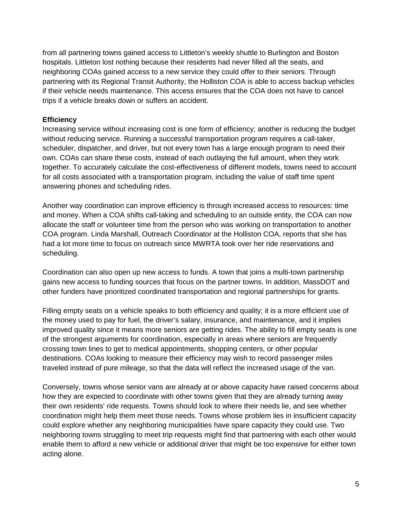from all partnering towns gained access to Littleton's weekly shuttle to Burlington and Boston hospitals. Littleton lost nothing because their residents had never filled all the seats, and neighboring COAs gained access to a new service they could offer to their seniors. Through partnering with its Regional Transit Authority, the Holliston COA is able to access backup vehicles if their vehicle needs maintenance. This access ensures that the COA does not have to cancel trips if a vehicle breaks down or suffers an accident.

#### **Efficiency**

Increasing service without increasing cost is one form of efficiency; another is reducing the budget without reducing service. Running a successful transportation program requires a call-taker, scheduler, dispatcher, and driver, but not every town has a large enough program to need their own. COAs can share these costs, instead of each outlaying the full amount, when they work together. To accurately calculate the cost-effectiveness of different models, towns need to account for all costs associated with a transportation program, including the value of staff time spent answering phones and scheduling rides.

Another way coordination can improve efficiency is through increased access to resources: time and money. When a COA shifts call-taking and scheduling to an outside entity, the COA can now allocate the staff or volunteer time from the person who was working on transportation to another COA program. Linda Marshall, Outreach Coordinator at the Holliston COA, reports that she has had a lot more time to focus on outreach since MWRTA took over her ride reservations and scheduling.

Coordination can also open up new access to funds. A town that joins a multi-town partnership gains new access to funding sources that focus on the partner towns. In addition, MassDOT and other funders have prioritized coordinated transportation and regional partnerships for grants.

Filling empty seats on a vehicle speaks to both efficiency and quality; it is a more efficient use of the money used to pay for fuel, the driver's salary, insurance, and maintenance, and it implies improved quality since it means more seniors are getting rides. The ability to fill empty seats is one of the strongest arguments for coordination, especially in areas where seniors are frequently crossing town lines to get to medical appointments, shopping centers, or other popular destinations. COAs looking to measure their efficiency may wish to record passenger miles traveled instead of pure mileage, so that the data will reflect the increased usage of the van.

Conversely, towns whose senior vans are already at or above capacity have raised concerns about how they are expected to coordinate with other towns given that they are already turning away their own residents' ride requests. Towns should look to where their needs lie, and see whether coordination might help them meet those needs. Towns whose problem lies in insufficient capacity could explore whether any neighboring municipalities have spare capacity they could use. Two neighboring towns struggling to meet trip requests might find that partnering with each other would enable them to afford a new vehicle or additional driver that might be too expensive for either town acting alone.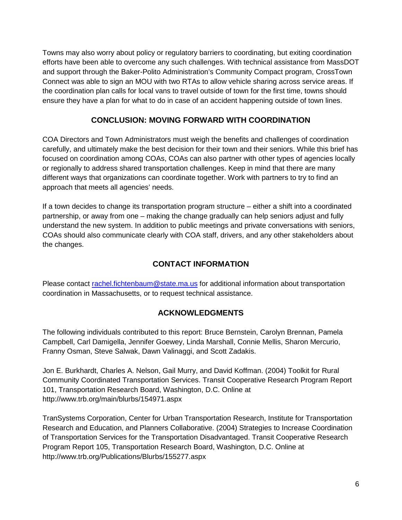Towns may also worry about policy or regulatory barriers to coordinating, but exiting coordination efforts have been able to overcome any such challenges. With technical assistance from MassDOT and support through the Baker-Polito Administration's Community Compact program, CrossTown Connect was able to sign an MOU with two RTAs to allow vehicle sharing across service areas. If the coordination plan calls for local vans to travel outside of town for the first time, towns should ensure they have a plan for what to do in case of an accident happening outside of town lines.

## **CONCLUSION: MOVING FORWARD WITH COORDINATION**

COA Directors and Town Administrators must weigh the benefits and challenges of coordination carefully, and ultimately make the best decision for their town and their seniors. While this brief has focused on coordination among COAs, COAs can also partner with other types of agencies locally or regionally to address shared transportation challenges. Keep in mind that there are many different ways that organizations can coordinate together. Work with partners to try to find an approach that meets all agencies' needs.

If a town decides to change its transportation program structure – either a shift into a coordinated partnership, or away from one – making the change gradually can help seniors adjust and fully understand the new system. In addition to public meetings and private conversations with seniors, COAs should also communicate clearly with COA staff, drivers, and any other stakeholders about the changes.

## **CONTACT INFORMATION**

Please contact [rachel.fichtenbaum@state.ma.us](mailto:rachel.fichtenbaum@state.ma.us) for additional information about transportation coordination in Massachusetts, or to request technical assistance.

#### **ACKNOWLEDGMENTS**

The following individuals contributed to this report: Bruce Bernstein, Carolyn Brennan, Pamela Campbell, Carl Damigella, Jennifer Goewey, Linda Marshall, Connie Mellis, Sharon Mercurio, Franny Osman, Steve Salwak, Dawn Valinaggi, and Scott Zadakis.

Jon E. Burkhardt, Charles A. Nelson, Gail Murry, and David Koffman. (2004) Toolkit for Rural Community Coordinated Transportation Services. Transit Cooperative Research Program Report 101, Transportation Research Board, Washington, D.C. Online at <http://www.trb.org/main/blurbs/154971.aspx>

TranSystems Corporation, Center for Urban Transportation Research, Institute for Transportation Research and Education, and Planners Collaborative. (2004) Strategies to Increase Coordination of Transportation Services for the Transportation Disadvantaged. Transit Cooperative Research Program Report 105, Transportation Research Board, Washington, D.C. Online at <http://www.trb.org/Publications/Blurbs/155277.aspx>